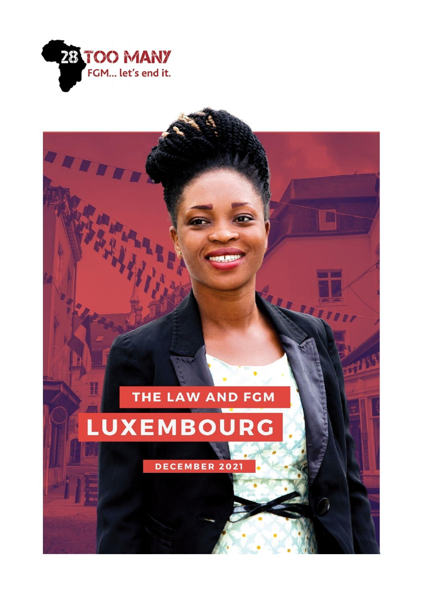

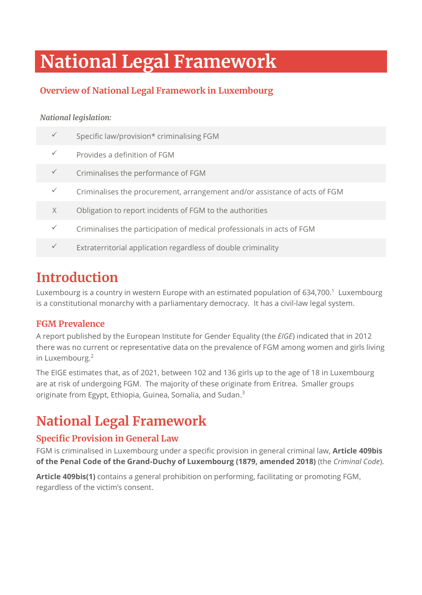# **National Legal Framework**

## **Overview of National Legal Framework in Luxembourg**

#### *National legislation:*

|   | Specific law/provision* criminalising FGM                                  |
|---|----------------------------------------------------------------------------|
|   | Provides a definition of FGM                                               |
|   | Criminalises the performance of FGM                                        |
|   | Criminalises the procurement, arrangement and/or assistance of acts of FGM |
| X | Obligation to report incidents of FGM to the authorities                   |
|   | Criminalises the participation of medical professionals in acts of FGM     |
|   |                                                                            |

Extraterritorial application regardless of double criminality

## **Introduction**

Luxembourg is a country in western Europe with an estimated population of 634,700. <sup>1</sup> Luxembourg is a constitutional monarchy with a parliamentary democracy. It has a civil-law legal system.

### **FGM Prevalence**

A report published by the European Institute for Gender Equality (the *EIGE*) indicated that in 2012 there was no current or representative data on the prevalence of FGM among women and girls living in Luxembourg.<sup>2</sup>

The EIGE estimates that, as of 2021, between 102 and 136 girls up to the age of 18 in Luxembourg are at risk of undergoing FGM. The majority of these originate from Eritrea. Smaller groups originate from Egypt, Ethiopia, Guinea, Somalia, and Sudan.<sup>3</sup>

## **National Legal Framework**

### **Specific Provision in General Law**

FGM is criminalised in Luxembourg under a specific provision in general criminal law, **Article 409bis of the Penal Code of the Grand-Duchy of Luxembourg (1879, amended 2018)** (the *Criminal Code*).

**Article 409bis(1)** contains a general prohibition on performing, facilitating or promoting FGM, regardless of the victim's consent.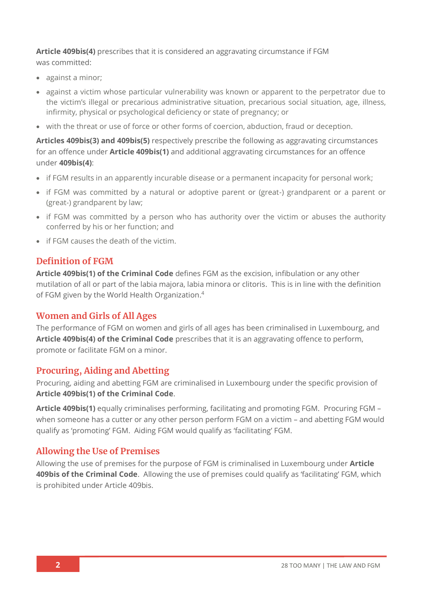**Article 409bis(4)** prescribes that it is considered an aggravating circumstance if FGM was committed:

- against a minor;
- against a victim whose particular vulnerability was known or apparent to the perpetrator due to the victim's illegal or precarious administrative situation, precarious social situation, age, illness, infirmity, physical or psychological deficiency or state of pregnancy; or
- with the threat or use of force or other forms of coercion, abduction, fraud or deception.

**Articles 409bis(3) and 409bis(5)** respectively prescribe the following as aggravating circumstances for an offence under **Article 409bis(1)** and additional aggravating circumstances for an offence under **409bis(4)**:

- if FGM results in an apparently incurable disease or a permanent incapacity for personal work;
- if FGM was committed by a natural or adoptive parent or (great-) grandparent or a parent or (great-) grandparent by law;
- if FGM was committed by a person who has authority over the victim or abuses the authority conferred by his or her function; and
- if FGM causes the death of the victim.

#### **Definition of FGM**

**Article 409bis(1) of the Criminal Code** defines FGM as the excision, infibulation or any other mutilation of all or part of the labia majora, labia minora or clitoris. This is in line with the definition of FGM given by the World Health Organization.<sup>4</sup>

#### **Women and Girls of All Ages**

The performance of FGM on women and girls of all ages has been criminalised in Luxembourg, and **Article 409bis(4) of the Criminal Code** prescribes that it is an aggravating offence to perform, promote or facilitate FGM on a minor.

#### **Procuring, Aiding and Abetting**

Procuring, aiding and abetting FGM are criminalised in Luxembourg under the specific provision of **Article 409bis(1) of the Criminal Code**.

**Article 409bis(1)** equally criminalises performing, facilitating and promoting FGM. Procuring FGM – when someone has a cutter or any other person perform FGM on a victim – and abetting FGM would qualify as 'promoting' FGM. Aiding FGM would qualify as 'facilitating' FGM.

#### **Allowing the Use of Premises**

Allowing the use of premises for the purpose of FGM is criminalised in Luxembourg under **Article 409bis of the Criminal Code**. Allowing the use of premises could qualify as 'facilitating' FGM, which is prohibited under Article 409bis.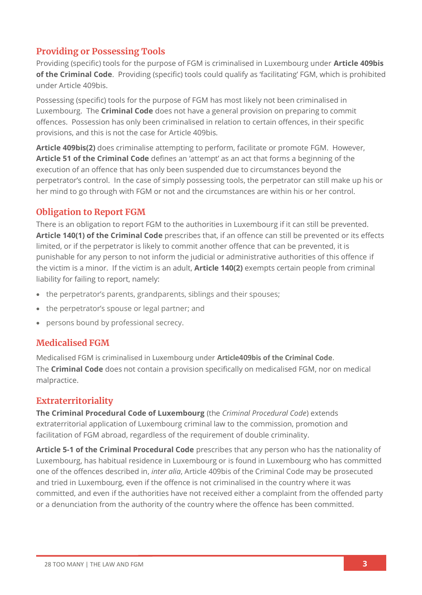### **Providing or Possessing Tools**

Providing (specific) tools for the purpose of FGM is criminalised in Luxembourg under **Article 409bis of the Criminal Code**. Providing (specific) tools could qualify as 'facilitating' FGM, which is prohibited under Article 409bis.

Possessing (specific) tools for the purpose of FGM has most likely not been criminalised in Luxembourg. The **Criminal Code** does not have a general provision on preparing to commit offences. Possession has only been criminalised in relation to certain offences, in their specific provisions, and this is not the case for Article 409bis.

**Article 409bis(2)** does criminalise attempting to perform, facilitate or promote FGM. However, **Article 51 of the Criminal Code** defines an 'attempt' as an act that forms a beginning of the execution of an offence that has only been suspended due to circumstances beyond the perpetrator's control. In the case of simply possessing tools, the perpetrator can still make up his or her mind to go through with FGM or not and the circumstances are within his or her control.

#### **Obligation to Report FGM**

There is an obligation to report FGM to the authorities in Luxembourg if it can still be prevented. **Article 140(1) of the Criminal Code** prescribes that, if an offence can still be prevented or its effects limited, or if the perpetrator is likely to commit another offence that can be prevented, it is punishable for any person to not inform the judicial or administrative authorities of this offence if the victim is a minor. If the victim is an adult, **Article 140(2)** exempts certain people from criminal liability for failing to report, namely:

- the perpetrator's parents, grandparents, siblings and their spouses;
- the perpetrator's spouse or legal partner; and
- persons bound by professional secrecy.

#### **Medicalised FGM**

Medicalised FGM is criminalised in Luxembourg under **Article409bis of the Criminal Code**. The **Criminal Code** does not contain a provision specifically on medicalised FGM, nor on medical malpractice.

#### **Extraterritoriality**

**The Criminal Procedural Code of Luxembourg** (the *Criminal Procedural Code*) extends extraterritorial application of Luxembourg criminal law to the commission, promotion and facilitation of FGM abroad, regardless of the requirement of double criminality.

**Article 5-1 of the Criminal Procedural Code** prescribes that any person who has the nationality of Luxembourg, has habitual residence in Luxembourg or is found in Luxembourg who has committed one of the offences described in, *inter alia*, Article 409bis of the Criminal Code may be prosecuted and tried in Luxembourg, even if the offence is not criminalised in the country where it was committed, and even if the authorities have not received either a complaint from the offended party or a denunciation from the authority of the country where the offence has been committed.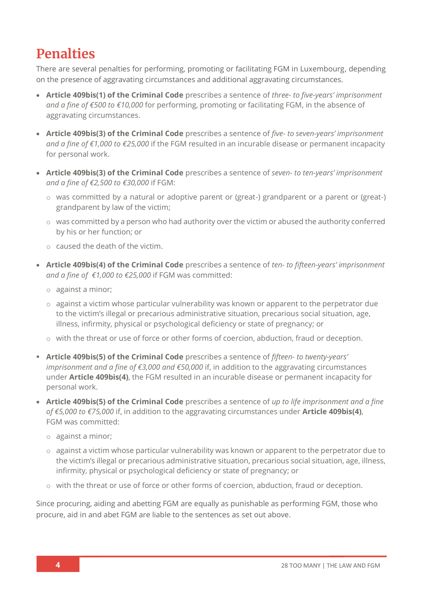## **Penalties**

There are several penalties for performing, promoting or facilitating FGM in Luxembourg, depending on the presence of aggravating circumstances and additional aggravating circumstances.

- **Article 409bis(1) of the Criminal Code** prescribes a sentence of *three- to five-years' imprisonment and a fine of €500 to €10,000* for performing, promoting or facilitating FGM, in the absence of aggravating circumstances.
- **Article 409bis(3) of the Criminal Code** prescribes a sentence of *five- to seven-years' imprisonment and a fine of €1,000 to €25,000* if the FGM resulted in an incurable disease or permanent incapacity for personal work.
- **Article 409bis(3) of the Criminal Code** prescribes a sentence of *seven- to ten-years' imprisonment and a fine of €2,500 to €30,000* if FGM:
	- o was committed by a natural or adoptive parent or (great-) grandparent or a parent or (great-) grandparent by law of the victim;
	- o was committed by a person who had authority over the victim or abused the authority conferred by his or her function; or
	- o caused the death of the victim.
- **Article 409bis(4) of the Criminal Code** prescribes a sentence of *ten- to fifteen-years' imprisonment and a fine of €1,000 to €25,000* if FGM was committed:
	- o against a minor;
	- $\circ$  against a victim whose particular vulnerability was known or apparent to the perpetrator due to the victim's illegal or precarious administrative situation, precarious social situation, age, illness, infirmity, physical or psychological deficiency or state of pregnancy; or
	- o with the threat or use of force or other forms of coercion, abduction, fraud or deception.
- **Article 409bis(5) of the Criminal Code** prescribes a sentence of *fifteen- to twenty-years' imprisonment and a fine of €3,000 and €50,000* if, in addition to the aggravating circumstances under **Article 409bis(4)**, the FGM resulted in an incurable disease or permanent incapacity for personal work.
- **Article 409bis(5) of the Criminal Code** prescribes a sentence of *up to life imprisonment and a fine of €5,000 to €75,000* if, in addition to the aggravating circumstances under **Article 409bis(4)**, FGM was committed:
	- o against a minor;
	- o against a victim whose particular vulnerability was known or apparent to the perpetrator due to the victim's illegal or precarious administrative situation, precarious social situation, age, illness, infirmity, physical or psychological deficiency or state of pregnancy; or
	- o with the threat or use of force or other forms of coercion, abduction, fraud or deception.

Since procuring, aiding and abetting FGM are equally as punishable as performing FGM, those who procure, aid in and abet FGM are liable to the sentences as set out above.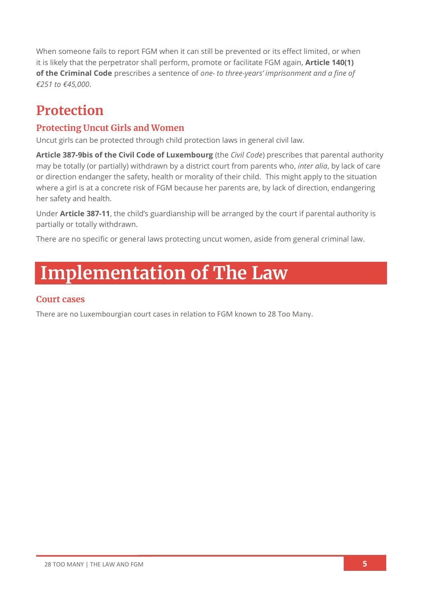When someone fails to report FGM when it can still be prevented or its effect limited, or when it is likely that the perpetrator shall perform, promote or facilitate FGM again, **Article 140(1) of the Criminal Code** prescribes a sentence of *one- to three-years' imprisonment and a fine of €251 to €45,000*.

## **Protection**

### **Protecting Uncut Girls and Women**

Uncut girls can be protected through child protection laws in general civil law.

**Article 387-9bis of the Civil Code of Luxembourg** (the *Civil Code*) prescribes that parental authority may be totally (or partially) withdrawn by a district court from parents who, *inter alia*, by lack of care or direction endanger the safety, health or morality of their child. This might apply to the situation where a girl is at a concrete risk of FGM because her parents are, by lack of direction, endangering her safety and health.

Under **Article 387-11**, the child's guardianship will be arranged by the court if parental authority is partially or totally withdrawn.

There are no specific or general laws protecting uncut women, aside from general criminal law.

# **Implementation of The Law**

#### **Court cases**

There are no Luxembourgian court cases in relation to FGM known to 28 Too Many.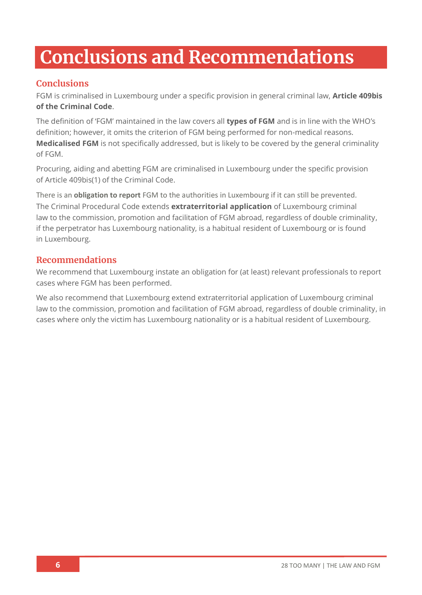# **Conclusions and Recommendations**

### **Conclusions**

FGM is criminalised in Luxembourg under a specific provision in general criminal law, **Article 409bis of the Criminal Code**.

The definition of 'FGM' maintained in the law covers all **types of FGM** and is in line with the WHO's definition; however, it omits the criterion of FGM being performed for non-medical reasons. **Medicalised FGM** is not specifically addressed, but is likely to be covered by the general criminality of FGM.

Procuring, aiding and abetting FGM are criminalised in Luxembourg under the specific provision of Article 409bis(1) of the Criminal Code.

There is an **obligation to report** FGM to the authorities in Luxembourg if it can still be prevented. The Criminal Procedural Code extends **extraterritorial application** of Luxembourg criminal law to the commission, promotion and facilitation of FGM abroad, regardless of double criminality, if the perpetrator has Luxembourg nationality, is a habitual resident of Luxembourg or is found in Luxembourg.

#### **Recommendations**

We recommend that Luxembourg instate an obligation for (at least) relevant professionals to report cases where FGM has been performed.

We also recommend that Luxembourg extend extraterritorial application of Luxembourg criminal law to the commission, promotion and facilitation of FGM abroad, regardless of double criminality, in cases where only the victim has Luxembourg nationality or is a habitual resident of Luxembourg.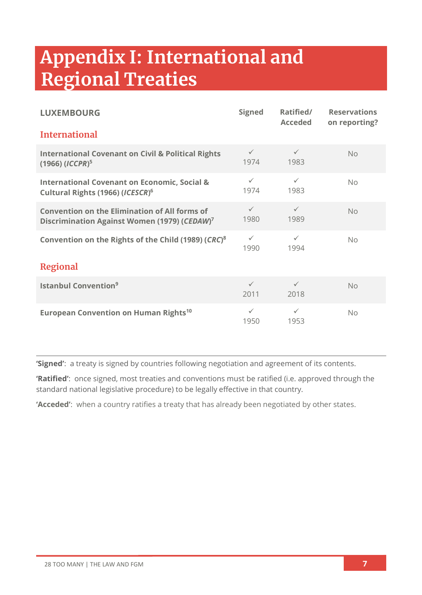# **Appendix I: International and Regional Treaties**

| <b>LUXEMBOURG</b>                                                                                                | <b>Signed</b>        | Ratified/<br><b>Acceded</b> | <b>Reservations</b><br>on reporting? |  |
|------------------------------------------------------------------------------------------------------------------|----------------------|-----------------------------|--------------------------------------|--|
| <b>International</b>                                                                                             |                      |                             |                                      |  |
| <b>International Covenant on Civil &amp; Political Rights</b><br>$(1966)$ ( <i>ICCPR</i> ) <sup>5</sup>          | $\checkmark$<br>1974 | $\checkmark$<br>1983        | No                                   |  |
| <b>International Covenant on Economic, Social &amp;</b><br>Cultural Rights (1966) (ICESCR) <sup>6</sup>          | $\checkmark$<br>1974 | $\checkmark$<br>1983        | No                                   |  |
| <b>Convention on the Elimination of All forms of</b><br>Discrimination Against Women (1979) (CEDAW) <sup>7</sup> | $\checkmark$<br>1980 | $\checkmark$<br>1989        | No                                   |  |
| Convention on the Rights of the Child (1989) (CRC) <sup>8</sup>                                                  | $\checkmark$<br>1990 | $\checkmark$<br>1994        | No                                   |  |
| <b>Regional</b>                                                                                                  |                      |                             |                                      |  |
| <b>Istanbul Convention</b> <sup>9</sup>                                                                          | $\checkmark$<br>2011 | $\checkmark$<br>2018        | No                                   |  |
| European Convention on Human Rights <sup>10</sup>                                                                | $\checkmark$<br>1950 | $\checkmark$<br>1953        | No                                   |  |

**'Signed'**: a treaty is signed by countries following negotiation and agreement of its contents.

**'Ratified'**: once signed, most treaties and conventions must be ratified (i.e. approved through the standard national legislative procedure) to be legally effective in that country.

**'Acceded'**: when a country ratifies a treaty that has already been negotiated by other states.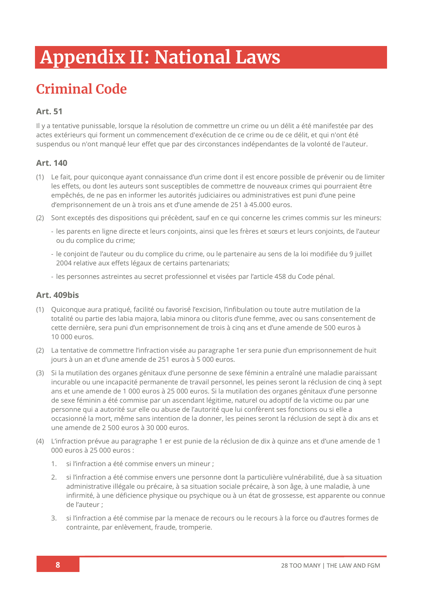# **Appendix II: National Laws**

# **Criminal Code**

#### **Art. 51**

Il y a tentative punissable, lorsque la résolution de commettre un crime ou un délit a été manifestée par des actes extérieurs qui forment un commencement d'exécution de ce crime ou de ce délit, et qui n'ont été suspendus ou n'ont manqué leur effet que par des circonstances indépendantes de la volonté de l'auteur.

#### **Art. 140**

- (1) Le fait, pour quiconque ayant connaissance d'un crime dont il est encore possible de prévenir ou de limiter les effets, ou dont les auteurs sont susceptibles de commettre de nouveaux crimes qui pourraient être empêchés, de ne pas en informer les autorités judiciaires ou administratives est puni d'une peine d'emprisonnement de un à trois ans et d'une amende de 251 à 45.000 euros.
- (2) Sont exceptés des dispositions qui précèdent, sauf en ce qui concerne les crimes commis sur les mineurs:
	- les parents en ligne directe et leurs conjoints, ainsi que les frères et sœurs et leurs conjoints, de l'auteur ou du complice du crime;
	- le conjoint de l'auteur ou du complice du crime, ou le partenaire au sens de la loi modifiée du 9 juillet 2004 relative aux effets légaux de certains partenariats;
	- les personnes astreintes au secret professionnel et visées par l'article 458 du Code pénal.

#### **Art. 409bis**

- (1) Quiconque aura pratiqué, facilité ou favorisé l'excision, l'infibulation ou toute autre mutilation de la totalité ou partie des labia majora, labia minora ou clitoris d'une femme, avec ou sans consentement de cette dernière, sera puni d'un emprisonnement de trois à cinq ans et d'une amende de 500 euros à 10 000 euros.
- (2) La tentative de commettre l'infraction visée au paragraphe 1er sera punie d'un emprisonnement de huit jours à un an et d'une amende de 251 euros à 5 000 euros.
- (3) Si la mutilation des organes génitaux d'une personne de sexe féminin a entraîné une maladie paraissant incurable ou une incapacité permanente de travail personnel, les peines seront la réclusion de cinq à sept ans et une amende de 1 000 euros à 25 000 euros. Si la mutilation des organes génitaux d'une personne de sexe féminin a été commise par un ascendant légitime, naturel ou adoptif de la victime ou par une personne qui a autorité sur elle ou abuse de l'autorité que lui confèrent ses fonctions ou si elle a occasionné la mort, même sans intention de la donner, les peines seront la réclusion de sept à dix ans et une amende de 2 500 euros à 30 000 euros.
- (4) L'infraction prévue au paragraphe 1 er est punie de la réclusion de dix à quinze ans et d'une amende de 1 000 euros à 25 000 euros :
	- 1. si l'infraction a été commise envers un mineur ;
	- 2. si l'infraction a été commise envers une personne dont la particulière vulnérabilité, due à sa situation administrative illégale ou précaire, à sa situation sociale précaire, à son âge, à une maladie, à une infirmité, à une déficience physique ou psychique ou à un état de grossesse, est apparente ou connue de l'auteur ;
	- 3. si l'infraction a été commise par la menace de recours ou le recours à la force ou d'autres formes de contrainte, par enlèvement, fraude, tromperie.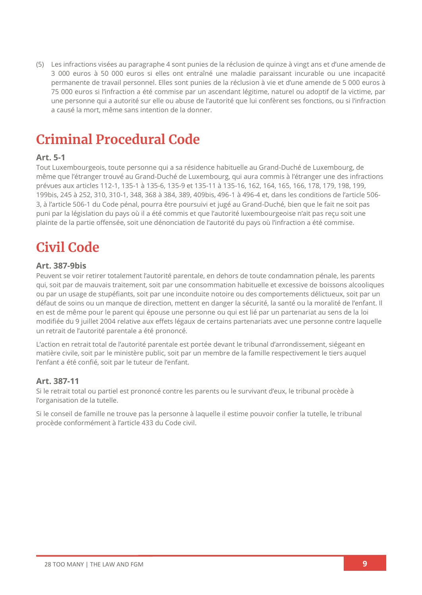(5) Les infractions visées au paragraphe 4 sont punies de la réclusion de quinze à vingt ans et d'une amende de 3 000 euros à 50 000 euros si elles ont entraîné une maladie paraissant incurable ou une incapacité permanente de travail personnel. Elles sont punies de la réclusion à vie et d'une amende de 5 000 euros à 75 000 euros si l'infraction a été commise par un ascendant légitime, naturel ou adoptif de la victime, par une personne qui a autorité sur elle ou abuse de l'autorité que lui confèrent ses fonctions, ou si l'infraction a causé la mort, même sans intention de la donner.

## **Criminal Procedural Code**

#### **Art. 5-1**

Tout Luxembourgeois, toute personne qui a sa résidence habituelle au Grand-Duché de Luxembourg, de même que l'étranger trouvé au Grand-Duché de Luxembourg, qui aura commis à l'étranger une des infractions prévues aux articles 112-1, 135-1 à 135-6, 135-9 et 135-11 à 135-16, 162, 164, 165, 166, 178, 179, 198, 199, 199bis, 245 à 252, 310, 310-1, 348, 368 à 384, 389, 409bis, 496-1 à 496-4 et, dans les conditions de l'article 506- 3, à l'article 506-1 du Code pénal, pourra être poursuivi et jugé au Grand-Duché, bien que le fait ne soit pas puni par la législation du pays où il a été commis et que l'autorité luxembourgeoise n'ait pas reçu soit une plainte de la partie offensée, soit une dénonciation de l'autorité du pays où l'infraction a été commise.

## **Civil Code**

#### **Art. 387-9bis**

Peuvent se voir retirer totalement l'autorité parentale, en dehors de toute condamnation pénale, les parents qui, soit par de mauvais traitement, soit par une consommation habituelle et excessive de boissons alcooliques ou par un usage de stupéfiants, soit par une inconduite notoire ou des comportements délictueux, soit par un défaut de soins ou un manque de direction, mettent en danger la sécurité, la santé ou la moralité de l'enfant. Il en est de même pour le parent qui épouse une personne ou qui est lié par un partenariat au sens de la [loi](https://legilux.public.lu/eli/etat/leg/loi/2004/07/09/n3/jo)  [modifiée du 9 juillet 2004](https://legilux.public.lu/eli/etat/leg/loi/2004/07/09/n3/jo) relative aux effets légaux de certains partenariats avec une personne contre laquelle un retrait de l'autorité parentale a été prononcé.

L'action en retrait total de l'autorité parentale est portée devant le tribunal d'arrondissement, siégeant en matière civile, soit par le ministère public, soit par un membre de la famille respectivement le tiers auquel l'enfant a été confié, soit par le tuteur de l'enfant.

#### **Art. 387-11**

Si le retrait total ou partiel est prononcé contre les parents ou le survivant d'eux, le tribunal procède à l'organisation de la tutelle.

Si le conseil de famille ne trouve pas la personne à laquelle il estime pouvoir confier la tutelle, le tribunal procède conformément à l'article 433 du Code civil.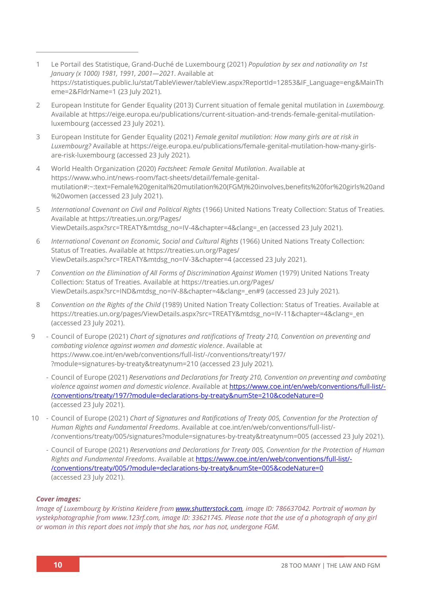- 1 Le Portail des Statistique, Grand-Duché de Luxembourg (2021) *Population by sex and nationality on 1st January (x 1000) 1981, 1991, 2001—2021*. Available at [https://statistiques.public.lu/stat/TableViewer/tableView.aspx?ReportId=12853&IF\\_Language=eng&MainTh](https://statistiques.public.lu/stat/TableViewer/tableView.aspx?ReportId=12853&IF_Language=eng&MainTheme=2&FldrName=1) [eme=2&FldrName=1](https://statistiques.public.lu/stat/TableViewer/tableView.aspx?ReportId=12853&IF_Language=eng&MainTheme=2&FldrName=1) (23 July 2021).
- 2 European Institute for Gender Equality (2013) Current situation of female genital mutilation in *Luxembourg.*  Available at [https://eige.europa.eu/publications/current-situation-and-trends-female-genital-mutilation](https://eige.europa.eu/publications/current-situation-and-trends-female-genital-mutilation-luxembourg)[luxembourg](https://eige.europa.eu/publications/current-situation-and-trends-female-genital-mutilation-luxembourg) (accessed 23 July 2021).
- 3 European Institute for Gender Equality (2021) *Female genital mutilation: How many girls are at risk in Luxembourg?* Available at [https://eige.europa.eu/publications/female-genital-mutilation-how-many-girls](https://eige.europa.eu/publications/female-genital-mutilation-how-many-girls-are-risk-luxembourg)[are-risk-luxembourg](https://eige.europa.eu/publications/female-genital-mutilation-how-many-girls-are-risk-luxembourg) (accessed 23 July 2021).
- 4 World Health Organization (2020) *Factsheet: Female Genital Mutilation*. Available at [https://www.who.int/news-room/fact-sheets/detail/female-genital](https://www.who.int/news-room/fact-sheets/detail/female-genital-mutilation#:~:text=Female%20genital%20mutilation%20(FGM)%20involves,benefits%20for%20girls%20and%20women)[mutilation#:~:text=Female%20genital%20mutilation%20\(FGM\)%20involves,benefits%20for%20girls%20and](https://www.who.int/news-room/fact-sheets/detail/female-genital-mutilation#:~:text=Female%20genital%20mutilation%20(FGM)%20involves,benefits%20for%20girls%20and%20women) [%20women](https://www.who.int/news-room/fact-sheets/detail/female-genital-mutilation#:~:text=Female%20genital%20mutilation%20(FGM)%20involves,benefits%20for%20girls%20and%20women) (accessed 23 July 2021).
- 5 *International Covenant on Civil and Political Rights* (1966) United Nations Treaty Collection: Status of Treaties*.* Available a[t https://treaties.un.org/Pages/](https://treaties.un.org/Pages/ViewDetails.aspx?src=TREATY&mtdsg_no=IV-4&chapter=4&clang=_en) [ViewDetails.aspx?src=TREATY&mtdsg\\_no=IV-4&chapter=4&clang=\\_en](https://treaties.un.org/Pages/ViewDetails.aspx?src=TREATY&mtdsg_no=IV-4&chapter=4&clang=_en) (accessed 23 July 2021).
- 6 *International Covenant on Economic, Social and Cultural Rights* (1966) United Nations Treaty Collection: Status of Treaties. Available at [https://treaties.un.org/Pages/](https://treaties.un.org/Pages/ViewDetails.aspx?src=TREATY&mtdsg_no=IV-3&chapter=4) [ViewDetails.aspx?src=TREATY&mtdsg\\_no=IV-3&chapter=4](https://treaties.un.org/Pages/ViewDetails.aspx?src=TREATY&mtdsg_no=IV-3&chapter=4) (accessed 23 July 2021).
- 7 *Convention on the Elimination of All Forms of Discrimination Against Women* (1979) United Nations Treaty Collection: Status of Treaties. Available at [https://treaties.un.org/Pages/](https://treaties.un.org/Pages/ViewDetails.aspx?src=IND&mtdsg_no=IV-8&chapter=4&clang=_en#9) [ViewDetails.aspx?src=IND&mtdsg\\_no=IV-8&chapter=4&clang=\\_en#9](https://treaties.un.org/Pages/ViewDetails.aspx?src=IND&mtdsg_no=IV-8&chapter=4&clang=_en#9) (accessed 23 July 2021).
- 8 *Convention on the Rights of the Child* (1989) United Nation Treaty Collection: Status of Treaties. Available at [https://treaties.un.org/pages/ViewDetails.aspx?src=TREATY&mtdsg\\_no=IV-11&chapter=4&clang=\\_en](https://treaties.un.org/pages/ViewDetails.aspx?src=TREATY&mtdsg_no=IV-11&chapter=4&clang=_en) (accessed 23 July 2021).
- 9 Council of Europe (2021) *Chart of signatures and ratifications of Treaty 210, Convention on preventing and combating violence against women and domestic violence*. Available at [https://www.coe.int/en/web/conventions/full-list/-/conventions/treaty/197/](https://www.coe.int/en/web/conventions/full-list/-/conventions/treaty/197/?module=signatures-by-treaty&treatynum=210) [?module=signatures-by-treaty&treatynum=210](https://www.coe.int/en/web/conventions/full-list/-/conventions/treaty/197/?module=signatures-by-treaty&treatynum=210) (accessed 23 July 2021).
	- Council of Europe (2021) *Reservations and Declarations for Treaty 210, Convention on preventing and combating violence against women and domestic violence*. Available at [https://www.coe.int/en/web/conventions/full-list/-](https://www.coe.int/en/web/conventions/full-list/-/conventions/treaty/197/?module=declarations-by-treaty&numSte=210&codeNature=0) [/conventions/treaty/197/?module=declarations-by-treaty&numSte=210&codeNature=0](https://www.coe.int/en/web/conventions/full-list/-/conventions/treaty/197/?module=declarations-by-treaty&numSte=210&codeNature=0) (accessed 23 July 2021).
- 10 Council of Europe (2021) *Chart of Signatures and Ratifications of Treaty 005, Convention for the Protection of Human Rights and Fundamental Freedoms*. Available a[t coe.int/en/web/conventions/full-list/-](coe.int/en/web/conventions/full-list/-/conventions/treaty/005/signatures?module=signatures-by-treaty&treatynum=005) [/conventions/treaty/005/signatures?module=signatures-by-treaty&treatynum=005](coe.int/en/web/conventions/full-list/-/conventions/treaty/005/signatures?module=signatures-by-treaty&treatynum=005) (accessed 23 July 2021).
	- Council of Europe (2021) *Reservations and Declarations for Treaty 005, Convention for the Protection of Human Rights and Fundamental Freedoms*. Available at [https://www.coe.int/en/web/conventions/full-list/-](https://www.coe.int/en/web/conventions/full-list/-/conventions/treaty/005/?module=declarations-by-treaty&numSte=005&codeNature=0) [/conventions/treaty/005/?module=declarations-by-treaty&numSte=005&codeNature=0](https://www.coe.int/en/web/conventions/full-list/-/conventions/treaty/005/?module=declarations-by-treaty&numSte=005&codeNature=0) (accessed 23 July 2021).

#### *Cover images:*

*Image of Luxembourg by Kristina Keidere fro[m www.shutterstock.com,](http://www.shutterstock.com/) image ID: 786637042. Portrait of woman by vystekphotographie from www.123rf.com, image ID: 33621745. Please note that the use of a photograph of any girl or woman in this report does not imply that she has, nor has not, undergone FGM.*